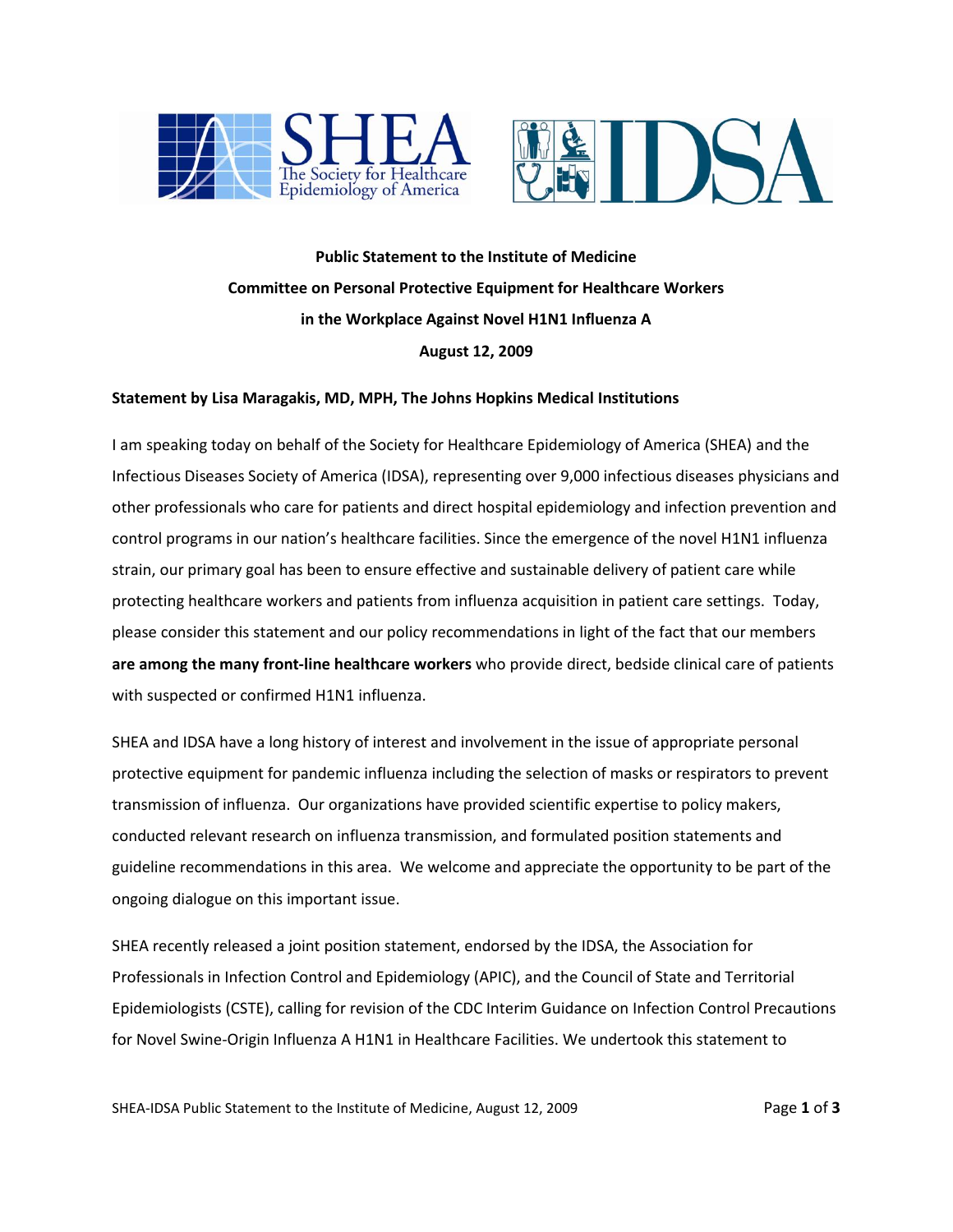



**Public Statement to the Institute of Medicine Committee on Personal Protective Equipment for Healthcare Workers in the Workplace Against Novel H1N1 Influenza A August 12, 2009**

## **Statement by Lisa Maragakis, MD, MPH, The Johns Hopkins Medical Institutions**

I am speaking today on behalf of the Society for Healthcare Epidemiology of America (SHEA) and the Infectious Diseases Society of America (IDSA), representing over 9,000 infectious diseases physicians and other professionals who care for patients and direct hospital epidemiology and infection prevention and control programs in our nation's healthcare facilities. Since the emergence of the novel H1N1 influenza strain, our primary goal has been to ensure effective and sustainable delivery of patient care while protecting healthcare workers and patients from influenza acquisition in patient care settings. Today, please consider this statement and our policy recommendations in light of the fact that our members **are among the many front-line healthcare workers** who provide direct, bedside clinical care of patients with suspected or confirmed H1N1 influenza.

SHEA and IDSA have a long history of interest and involvement in the issue of appropriate personal protective equipment for pandemic influenza including the selection of masks or respirators to prevent transmission of influenza. Our organizations have provided scientific expertise to policy makers, conducted relevant research on influenza transmission, and formulated position statements and guideline recommendations in this area. We welcome and appreciate the opportunity to be part of the ongoing dialogue on this important issue.

SHEA recently released a joint position statement, endorsed by the IDSA, the Association for Professionals in Infection Control and Epidemiology (APIC), and the Council of State and Territorial Epidemiologists (CSTE), calling for revision of the CDC Interim Guidance on Infection Control Precautions for Novel Swine-Origin Influenza A H1N1 in Healthcare Facilities. We undertook this statement to

SHEA-IDSA Public Statement to the Institute of Medicine, August 12, 2009 Page 1 of 3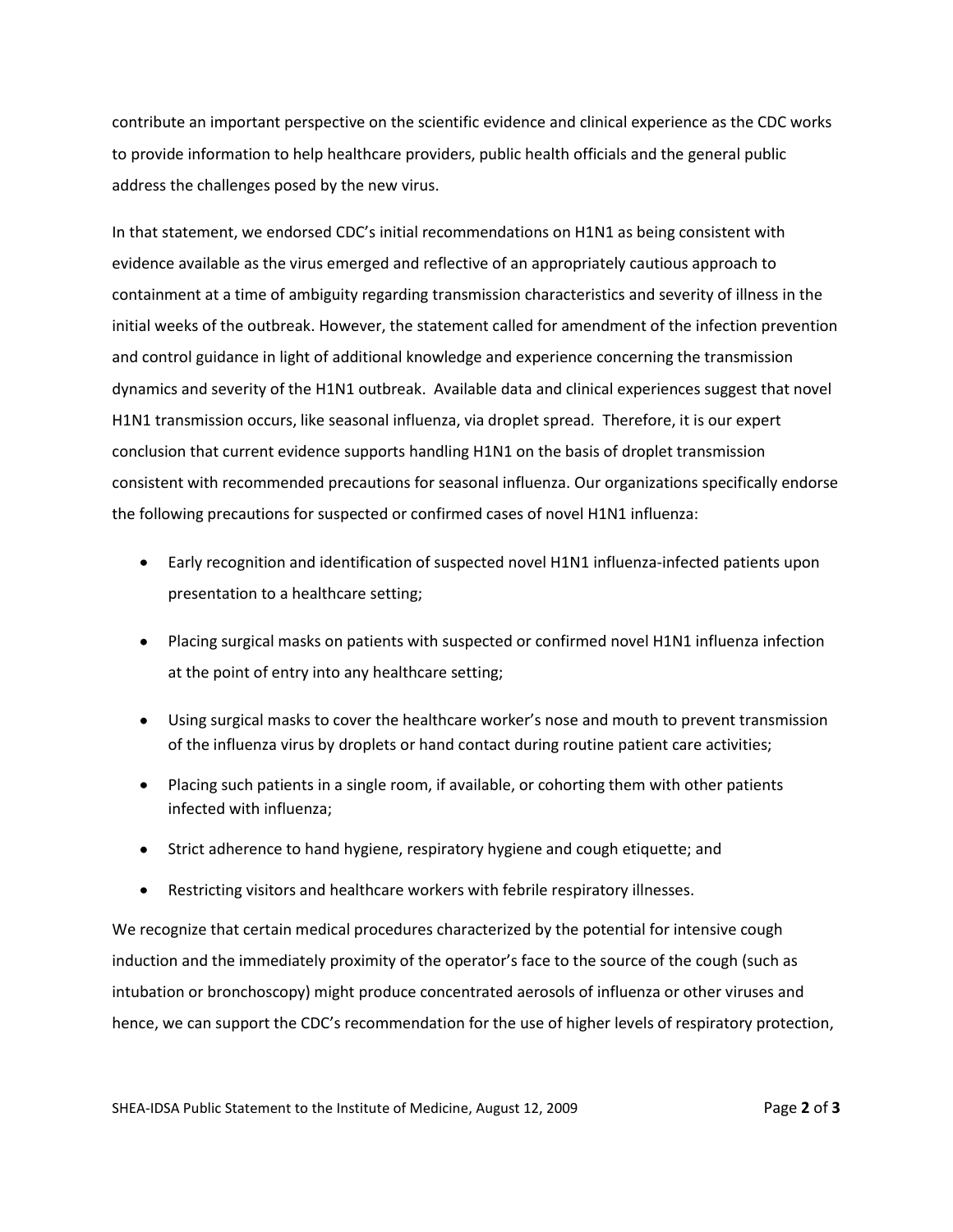contribute an important perspective on the scientific evidence and clinical experience as the CDC works to provide information to help healthcare providers, public health officials and the general public address the challenges posed by the new virus.

In that statement, we endorsed CDC's initial recommendations on H1N1 as being consistent with evidence available as the virus emerged and reflective of an appropriately cautious approach to containment at a time of ambiguity regarding transmission characteristics and severity of illness in the initial weeks of the outbreak. However, the statement called for amendment of the infection prevention and control guidance in light of additional knowledge and experience concerning the transmission dynamics and severity of the H1N1 outbreak. Available data and clinical experiences suggest that novel H1N1 transmission occurs, like seasonal influenza, via droplet spread. Therefore, it is our expert conclusion that current evidence supports handling H1N1 on the basis of droplet transmission consistent with recommended precautions for seasonal influenza. Our organizations specifically endorse the following precautions for suspected or confirmed cases of novel H1N1 influenza:

- Early recognition and identification of suspected novel H1N1 influenza-infected patients upon presentation to a healthcare setting;
- Placing surgical masks on patients with suspected or confirmed novel H1N1 influenza infection at the point of entry into any healthcare setting;
- Using surgical masks to cover the healthcare worker's nose and mouth to prevent transmission of the influenza virus by droplets or hand contact during routine patient care activities;
- Placing such patients in a single room, if available, or cohorting them with other patients infected with influenza;
- Strict adherence to hand hygiene, respiratory hygiene and cough etiquette; and
- Restricting visitors and healthcare workers with febrile respiratory illnesses.  $\bullet$

We recognize that certain medical procedures characterized by the potential for intensive cough induction and the immediately proximity of the operator's face to the source of the cough (such as intubation or bronchoscopy) might produce concentrated aerosols of influenza or other viruses and hence, we can support the CDC's recommendation for the use of higher levels of respiratory protection,